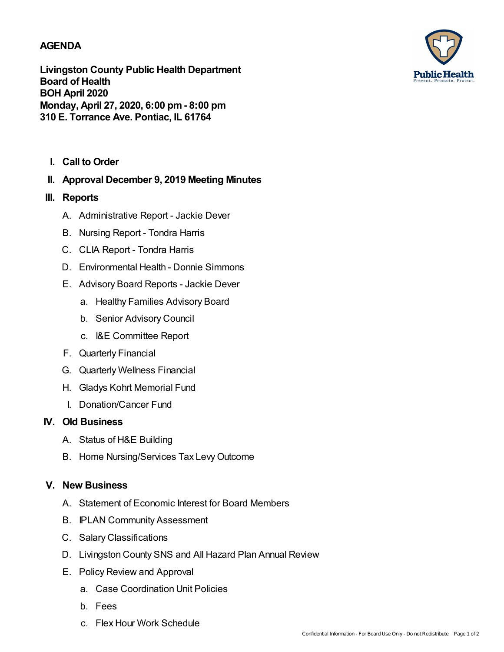### **AGENDA**

**Livingston County Public Health Department Board of Health BOH April 2020 Monday, April 27, 2020, 6:00 pm- 8:00 pm 310 E. Torrance Ave. Pontiac, IL 61764**

**I. Call to Order**

# **II. Approval December 9, 2019 Meeting Minutes**

### **III. Reports**

- A. Administrative Report Jackie Dever
- B. Nursing Report Tondra Harris
- C. CLIA Report Tondra Harris
- D. Environmental Health Donnie Simmons
- E. Advisory Board Reports Jackie Dever
	- a. Healthy Families Advisory Board
	- b. Senior Advisory Council
	- c. I&E Committee Report
- F. Quarterly Financial
- G. Quarterly Wellness Financial
- H. Gladys Kohrt Memorial Fund
- I. Donation/Cancer Fund

### **IV. Old Business**

- A. Status of H&E Building
- B. Home Nursing/Services Tax LevyOutcome

## **V. New Business**

- A. Statement of Economic Interest for Board Members
- B. IPLAN Community Assessment
- C. Salary Classifications
- D. Livingston County SNS and All Hazard Plan Annual Review
- E. Policy Review and Approval
	- a. Case Coordination Unit Policies
	- b. Fees
	- c. Flex Hour Work Schedule